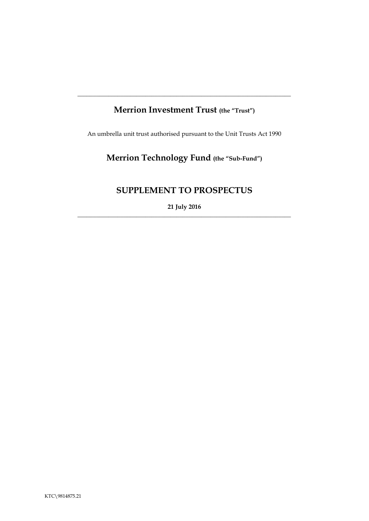## **Merrion Investment Trust (the "Trust")**

**\_\_\_\_\_\_\_\_\_\_\_\_\_\_\_\_\_\_\_\_\_\_\_\_\_\_\_\_\_\_\_\_\_\_\_\_\_\_\_\_\_\_\_\_\_\_\_\_\_\_\_\_\_\_\_\_\_\_\_\_\_\_\_\_\_\_\_\_\_**

An umbrella unit trust authorised pursuant to the Unit Trusts Act 1990

# **Merrion Technology Fund (the "Sub-Fund")**

## **SUPPLEMENT TO PROSPECTUS**

**21 July 2016** \_\_\_\_\_\_\_\_\_\_\_\_\_\_\_\_\_\_\_\_\_\_\_\_\_\_\_\_\_\_\_\_\_\_\_\_\_\_\_\_\_\_\_\_\_\_\_\_\_\_\_\_\_\_\_\_\_\_\_\_\_\_\_\_\_\_\_\_\_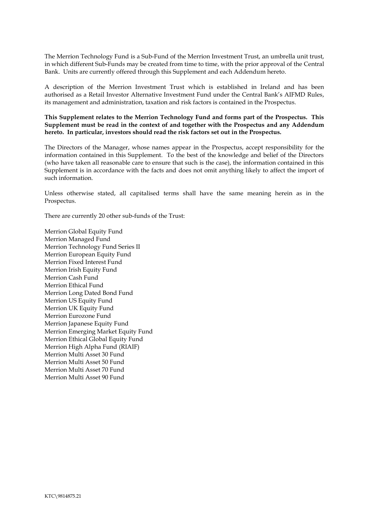The Merrion Technology Fund is a Sub-Fund of the Merrion Investment Trust, an umbrella unit trust, in which different Sub-Funds may be created from time to time, with the prior approval of the Central Bank. Units are currently offered through this Supplement and each Addendum hereto.

A description of the Merrion Investment Trust which is established in Ireland and has been authorised as a Retail Investor Alternative Investment Fund under the Central Bank's AIFMD Rules, its management and administration, taxation and risk factors is contained in the Prospectus.

#### **This Supplement relates to the Merrion Technology Fund and forms part of the Prospectus. This Supplement must be read in the context of and together with the Prospectus and any Addendum hereto. In particular, investors should read the risk factors set out in the Prospectus.**

The Directors of the Manager, whose names appear in the Prospectus, accept responsibility for the information contained in this Supplement. To the best of the knowledge and belief of the Directors (who have taken all reasonable care to ensure that such is the case), the information contained in this Supplement is in accordance with the facts and does not omit anything likely to affect the import of such information.

Unless otherwise stated, all capitalised terms shall have the same meaning herein as in the Prospectus.

There are currently 20 other sub-funds of the Trust:

Merrion Global Equity Fund Merrion Managed Fund Merrion Technology Fund Series II Merrion European Equity Fund Merrion Fixed Interest Fund Merrion Irish Equity Fund Merrion Cash Fund Merrion Ethical Fund Merrion Long Dated Bond Fund Merrion US Equity Fund Merrion UK Equity Fund Merrion Eurozone Fund Merrion Japanese Equity Fund Merrion Emerging Market Equity Fund Merrion Ethical Global Equity Fund Merrion High Alpha Fund (RIAIF) Merrion Multi Asset 30 Fund Merrion Multi Asset 50 Fund Merrion Multi Asset 70 Fund Merrion Multi Asset 90 Fund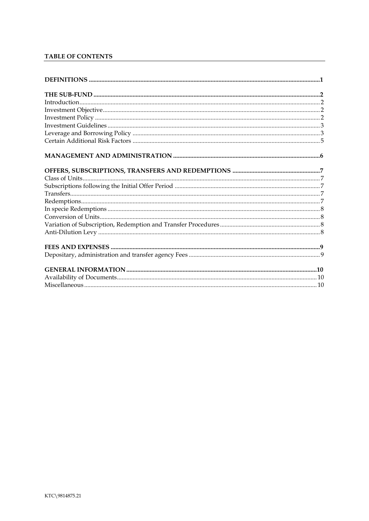### TABLE OF CONTENTS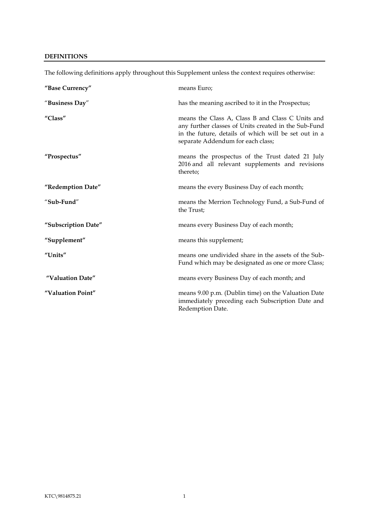#### <span id="page-3-0"></span>**DEFINITIONS**

| "Base Currency"     | means Euro;                                                                                                                                                                                           |
|---------------------|-------------------------------------------------------------------------------------------------------------------------------------------------------------------------------------------------------|
| "Business Day"      | has the meaning ascribed to it in the Prospectus;                                                                                                                                                     |
| "Class"             | means the Class A, Class B and Class C Units and<br>any further classes of Units created in the Sub-Fund<br>in the future, details of which will be set out in a<br>separate Addendum for each class; |
| "Prospectus"        | means the prospectus of the Trust dated 21 July<br>2016 and all relevant supplements and revisions<br>thereto;                                                                                        |
| "Redemption Date"   | means the every Business Day of each month;                                                                                                                                                           |
| "Sub-Fund"          | means the Merrion Technology Fund, a Sub-Fund of<br>the Trust;                                                                                                                                        |
| "Subscription Date" | means every Business Day of each month;                                                                                                                                                               |
| "Supplement"        | means this supplement;                                                                                                                                                                                |
| "Units"             | means one undivided share in the assets of the Sub-<br>Fund which may be designated as one or more Class;                                                                                             |
| "Valuation Date"    | means every Business Day of each month; and                                                                                                                                                           |
| "Valuation Point"   | means 9.00 p.m. (Dublin time) on the Valuation Date<br>immediately preceding each Subscription Date and<br>Redemption Date.                                                                           |

The following definitions apply throughout this Supplement unless the context requires otherwise: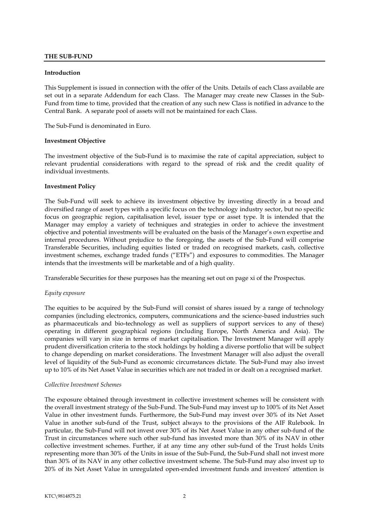#### <span id="page-4-0"></span>**THE SUB-FUND**

#### <span id="page-4-1"></span>**Introduction**

This Supplement is issued in connection with the offer of the Units. Details of each Class available are set out in a separate Addendum for each Class. The Manager may create new Classes in the Sub-Fund from time to time, provided that the creation of any such new Class is notified in advance to the Central Bank. A separate pool of assets will not be maintained for each Class.

The Sub-Fund is denominated in Euro.

#### <span id="page-4-2"></span>**Investment Objective**

The investment objective of the Sub-Fund is to maximise the rate of capital appreciation, subject to relevant prudential considerations with regard to the spread of risk and the credit quality of individual investments.

#### <span id="page-4-3"></span>**Investment Policy**

The Sub-Fund will seek to achieve its investment objective by investing directly in a broad and diversified range of asset types with a specific focus on the technology industry sector, but no specific focus on geographic region, capitalisation level, issuer type or asset type. It is intended that the Manager may employ a variety of techniques and strategies in order to achieve the investment objective and potential investments will be evaluated on the basis of the Manager's own expertise and internal procedures. Without prejudice to the foregoing, the assets of the Sub-Fund will comprise Transferable Securities, including equities listed or traded on recognised markets, cash, collective investment schemes, exchange traded funds ("ETFs") and exposures to commodities. The Manager intends that the investments will be marketable and of a high quality.

Transferable Securities for these purposes has the meaning set out on page xi of the Prospectus.

#### *Equity exposure*

The equities to be acquired by the Sub-Fund will consist of shares issued by a range of technology companies (including electronics, computers, communications and the science-based industries such as pharmaceuticals and bio-technology as well as suppliers of support services to any of these) operating in different geographical regions (including Europe, North America and Asia). The companies will vary in size in terms of market capitalisation. The Investment Manager will apply prudent diversification criteria to the stock holdings by holding a diverse portfolio that will be subject to change depending on market considerations. The Investment Manager will also adjust the overall level of liquidity of the Sub-Fund as economic circumstances dictate. The Sub-Fund may also invest up to 10% of its Net Asset Value in securities which are not traded in or dealt on a recognised market.

#### *Collective Investment Schemes*

The exposure obtained through investment in collective investment schemes will be consistent with the overall investment strategy of the Sub-Fund. The Sub-Fund may invest up to 100% of its Net Asset Value in other investment funds. Furthermore, the Sub-Fund may invest over 30% of its Net Asset Value in another sub-fund of the Trust, subject always to the provisions of the AIF Rulebook. In particular, the Sub-Fund will not invest over 30% of its Net Asset Value in any other sub-fund of the Trust in circumstances where such other sub-fund has invested more than 30% of its NAV in other collective investment schemes. Further, if at any time any other sub-fund of the Trust holds Units representing more than 30% of the Units in issue of the Sub-Fund, the Sub-Fund shall not invest more than 30% of its NAV in any other collective investment scheme. The Sub-Fund may also invest up to 20% of its Net Asset Value in unregulated open-ended investment funds and investors' attention is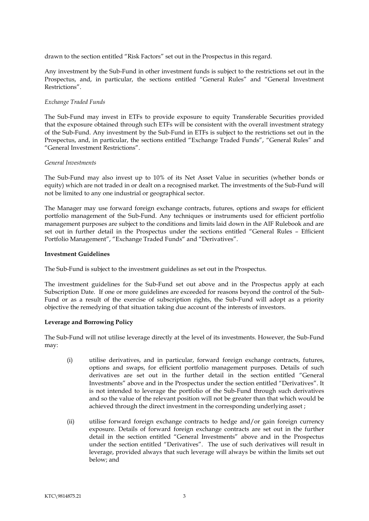drawn to the section entitled "Risk Factors" set out in the Prospectus in this regard.

Any investment by the Sub-Fund in other investment funds is subject to the restrictions set out in the Prospectus, and, in particular, the sections entitled "General Rules" and "General Investment Restrictions".

#### *Exchange Traded Funds*

The Sub-Fund may invest in ETFs to provide exposure to equity Transferable Securities provided that the exposure obtained through such ETFs will be consistent with the overall investment strategy of the Sub-Fund. Any investment by the Sub-Fund in ETFs is subject to the restrictions set out in the Prospectus, and, in particular, the sections entitled "Exchange Traded Funds", "General Rules" and "General Investment Restrictions".

#### *General Investments*

The Sub-Fund may also invest up to 10% of its Net Asset Value in securities (whether bonds or equity) which are not traded in or dealt on a recognised market. The investments of the Sub-Fund will not be limited to any one industrial or geographical sector.

The Manager may use forward foreign exchange contracts, futures, options and swaps for efficient portfolio management of the Sub-Fund. Any techniques or instruments used for efficient portfolio management purposes are subject to the conditions and limits laid down in the AIF Rulebook and are set out in further detail in the Prospectus under the sections entitled "General Rules – Efficient Portfolio Management", "Exchange Traded Funds" and "Derivatives".

#### <span id="page-5-0"></span>**Investment Guidelines**

The Sub-Fund is subject to the investment guidelines as set out in the Prospectus.

The investment guidelines for the Sub-Fund set out above and in the Prospectus apply at each Subscription Date. If one or more guidelines are exceeded for reasons beyond the control of the Sub-Fund or as a result of the exercise of subscription rights, the Sub-Fund will adopt as a priority objective the remedying of that situation taking due account of the interests of investors.

#### **Leverage and Borrowing Policy**

The Sub-Fund will not utilise leverage directly at the level of its investments. However, the Sub-Fund may:

- <span id="page-5-1"></span>(i) utilise derivatives, and in particular, forward foreign exchange contracts, futures, options and swaps, for efficient portfolio management purposes. Details of such derivatives are set out in the further detail in the section entitled "General Investments" above and in the Prospectus under the section entitled "Derivatives". It is not intended to leverage the portfolio of the Sub-Fund through such derivatives and so the value of the relevant position will not be greater than that which would be achieved through the direct investment in the corresponding underlying asset ;
- (ii) utilise forward foreign exchange contracts to hedge and/or gain foreign currency exposure. Details of forward foreign exchange contracts are set out in the further detail in the section entitled "General Investments" above and in the Prospectus under the section entitled "Derivatives". The use of such derivatives will result in leverage, provided always that such leverage will always be within the limits set out below; and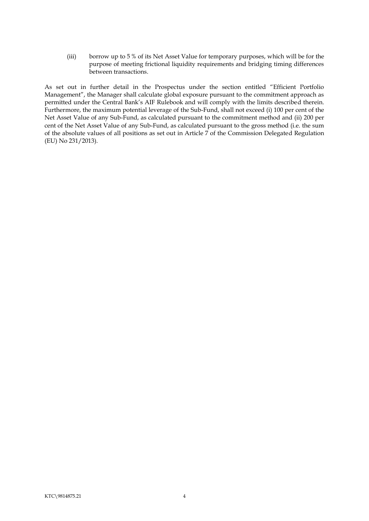(iii) borrow up to 5 % of its Net Asset Value for temporary purposes, which will be for the purpose of meeting frictional liquidity requirements and bridging timing differences between transactions.

As set out in further detail in the Prospectus under the section entitled "Efficient Portfolio Management", the Manager shall calculate global exposure pursuant to the commitment approach as permitted under the Central Bank's AIF Rulebook and will comply with the limits described therein. Furthermore, the maximum potential leverage of the Sub-Fund, shall not exceed (i) 100 per cent of the Net Asset Value of any Sub-Fund, as calculated pursuant to the commitment method and (ii) 200 per cent of the Net Asset Value of any Sub-Fund, as calculated pursuant to the gross method (i.e. the sum of the absolute values of all positions as set out in Article 7 of the Commission Delegated Regulation (EU) No 231/2013).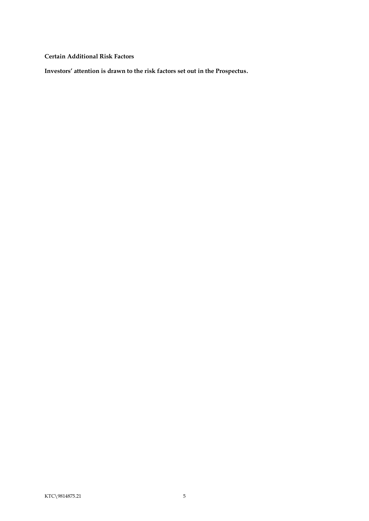<span id="page-7-0"></span>**Certain Additional Risk Factors**

**Investors' attention is drawn to the risk factors set out in the Prospectus.**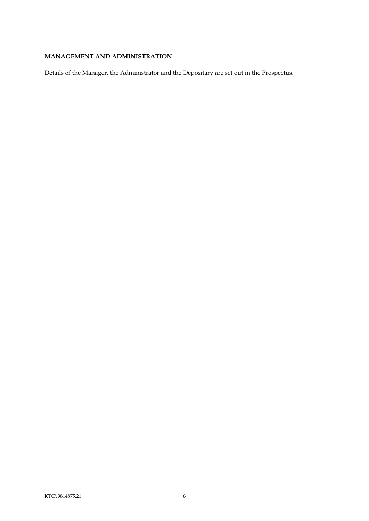### <span id="page-8-0"></span>**MANAGEMENT AND ADMINISTRATION**

Details of the Manager, the Administrator and the Depositary are set out in the Prospectus.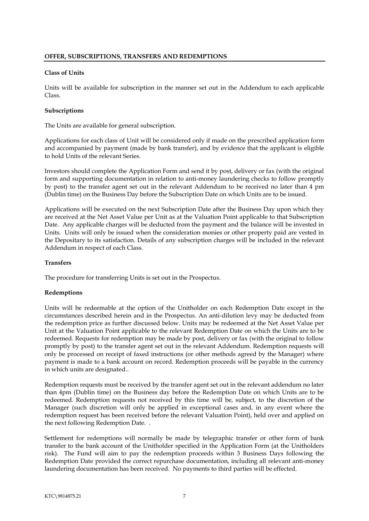#### <span id="page-9-1"></span><span id="page-9-0"></span>**Class of Units**

Units will be available for subscription in the manner set out in the Addendum to each applicable Class.

#### <span id="page-9-2"></span>**Subscriptions**

The Units are available for general subscription.

Applications for each class of Unit will be considered only if made on the prescribed application form and accompanied by payment (made by bank transfer), and by evidence that the applicant is eligible to hold Units of the relevant Series.

Investors should complete the Application Form and send it by post, delivery or fax (with the original form and supporting documentation in relation to anti-money laundering checks to follow promptly by post) to the transfer agent set out in the relevant Addendum to be received no later than 4 pm (Dublin time) on the Business Day before the Subscription Date on which Units are to be issued.

Applications will be executed on the next Subscription Date after the Business Day upon which they are received at the Net Asset Value per Unit as at the Valuation Point applicable to that Subscription Date. Any applicable charges will be deducted from the payment and the balance will be invested in Units. Units will only be issued when the consideration monies or other property paid are vested in the Depositary to its satisfaction. Details of any subscription charges will be included in the relevant Addendum in respect of each Class.

#### <span id="page-9-3"></span>**Transfers**

The procedure for transferring Units is set out in the Prospectus.

#### <span id="page-9-4"></span>**Redemptions**

Units will be redeemable at the option of the Unitholder on each Redemption Date except in the circumstances described herein and in the Prospectus. An anti-dilution levy may be deducted from the redemption price as further discussed below. Units may be redeemed at the Net Asset Value per Unit at the Valuation Point applicable to the relevant Redemption Date on which the Units are to be redeemed. Requests for redemption may be made by post, delivery or fax (with the original to follow promptly by post) to the transfer agent set out in the relevant Addendum. Redemption requests will only be processed on receipt of faxed instructions (or other methods agreed by the Manager) where payment is made to a bank account on record. Redemption proceeds will be payable in the currency in which units are designated..

Redemption requests must be received by the transfer agent set out in the relevant addendum no later than 4pm (Dublin time) on the Business day before the Redemption Date on which Units are to be redeemed. Redemption requests not received by this time will be, subject, to the discretion of the Manager (such discretion will only be applied in exceptional cases and, in any event where the redemption request has been received before the relevant Valuation Point), held over and applied on the next following Redemption Date. .

Settlement for redemptions will normally be made by telegraphic transfer or other form of bank transfer to the bank account of the Unitholder specified in the Application Form (at the Unitholders risk). The Fund will aim to pay the redemption proceeds within 3 Business Days following the Redemption Date provided the correct repurchase documentation, including all relevant anti-money laundering documentation has been received. No payments to third parties will be effected.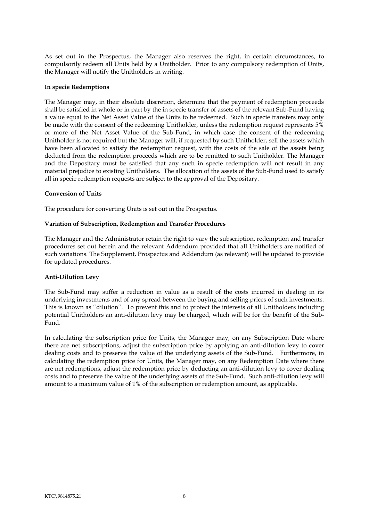As set out in the Prospectus, the Manager also reserves the right, in certain circumstances, to compulsorily redeem all Units held by a Unitholder. Prior to any compulsory redemption of Units, the Manager will notify the Unitholders in writing.

#### <span id="page-10-0"></span>**In specie Redemptions**

The Manager may, in their absolute discretion, determine that the payment of redemption proceeds shall be satisfied in whole or in part by the in specie transfer of assets of the relevant Sub-Fund having a value equal to the Net Asset Value of the Units to be redeemed. Such in specie transfers may only be made with the consent of the redeeming Unitholder, unless the redemption request represents 5% or more of the Net Asset Value of the Sub-Fund, in which case the consent of the redeeming Unitholder is not required but the Manager will, if requested by such Unitholder, sell the assets which have been allocated to satisfy the redemption request, with the costs of the sale of the assets being deducted from the redemption proceeds which are to be remitted to such Unitholder. The Manager and the Depositary must be satisfied that any such in specie redemption will not result in any material prejudice to existing Unitholders. The allocation of the assets of the Sub-Fund used to satisfy all in specie redemption requests are subject to the approval of the Depositary.

#### <span id="page-10-1"></span>**Conversion of Units**

The procedure for converting Units is set out in the Prospectus.

#### <span id="page-10-2"></span>**Variation of Subscription, Redemption and Transfer Procedures**

The Manager and the Administrator retain the right to vary the subscription, redemption and transfer procedures set out herein and the relevant Addendum provided that all Unitholders are notified of such variations. The Supplement, Prospectus and Addendum (as relevant) will be updated to provide for updated procedures.

#### <span id="page-10-3"></span>**Anti-Dilution Levy**

The Sub-Fund may suffer a reduction in value as a result of the costs incurred in dealing in its underlying investments and of any spread between the buying and selling prices of such investments. This is known as "dilution". To prevent this and to protect the interests of all Unitholders including potential Unitholders an anti-dilution levy may be charged, which will be for the benefit of the Sub-Fund.

In calculating the subscription price for Units, the Manager may, on any Subscription Date where there are net subscriptions, adjust the subscription price by applying an anti-dilution levy to cover dealing costs and to preserve the value of the underlying assets of the Sub-Fund. Furthermore, in calculating the redemption price for Units, the Manager may, on any Redemption Date where there are net redemptions, adjust the redemption price by deducting an anti-dilution levy to cover dealing costs and to preserve the value of the underlying assets of the Sub-Fund. Such anti-dilution levy will amount to a maximum value of 1% of the subscription or redemption amount, as applicable.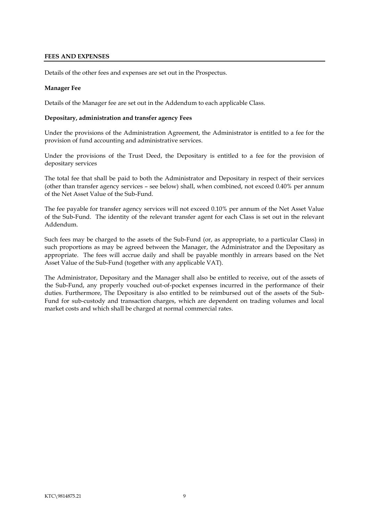#### <span id="page-11-0"></span>**FEES AND EXPENSES**

Details of the other fees and expenses are set out in the Prospectus.

#### **Manager Fee**

Details of the Manager fee are set out in the Addendum to each applicable Class.

#### <span id="page-11-1"></span>**Depositary, administration and transfer agency Fees**

Under the provisions of the Administration Agreement, the Administrator is entitled to a fee for the provision of fund accounting and administrative services.

Under the provisions of the Trust Deed, the Depositary is entitled to a fee for the provision of depositary services

The total fee that shall be paid to both the Administrator and Depositary in respect of their services (other than transfer agency services – see below) shall, when combined, not exceed 0.40% per annum of the Net Asset Value of the Sub-Fund.

The fee payable for transfer agency services will not exceed 0.10% per annum of the Net Asset Value of the Sub-Fund. The identity of the relevant transfer agent for each Class is set out in the relevant Addendum.

Such fees may be charged to the assets of the Sub-Fund (or, as appropriate, to a particular Class) in such proportions as may be agreed between the Manager, the Administrator and the Depositary as appropriate. The fees will accrue daily and shall be payable monthly in arrears based on the Net Asset Value of the Sub-Fund (together with any applicable VAT).

The Administrator, Depositary and the Manager shall also be entitled to receive, out of the assets of the Sub-Fund, any properly vouched out-of-pocket expenses incurred in the performance of their duties. Furthermore, The Depositary is also entitled to be reimbursed out of the assets of the Sub-Fund for sub-custody and transaction charges, which are dependent on trading volumes and local market costs and which shall be charged at normal commercial rates.